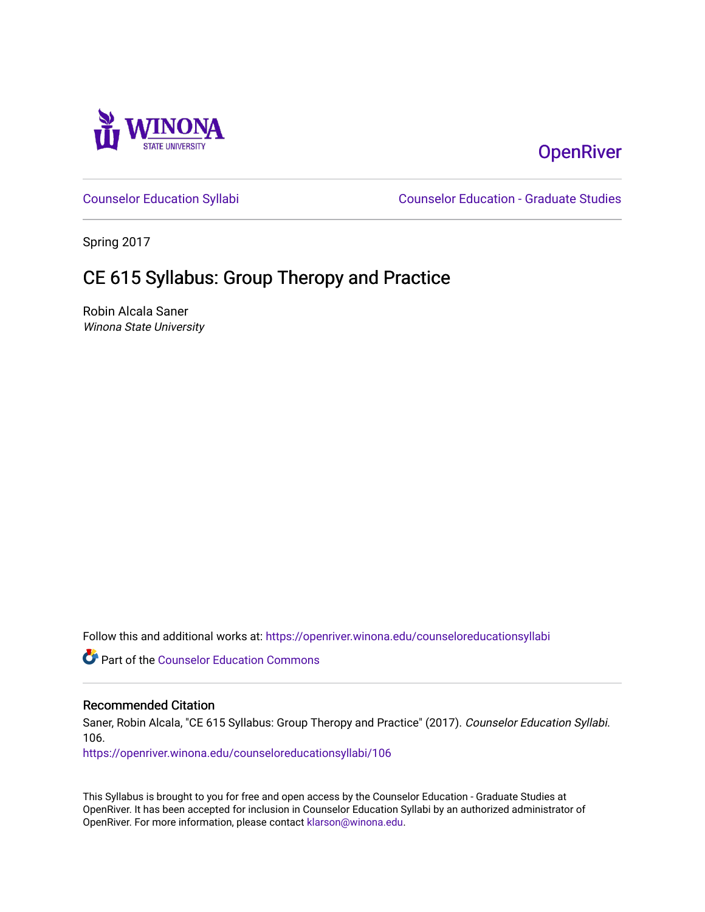

# **OpenRiver**

[Counselor Education Syllabi](https://openriver.winona.edu/counseloreducationsyllabi) [Counselor Education - Graduate Studies](https://openriver.winona.edu/counseloreducation) 

Spring 2017

# CE 615 Syllabus: Group Theropy and Practice

Robin Alcala Saner Winona State University

Follow this and additional works at: [https://openriver.winona.edu/counseloreducationsyllabi](https://openriver.winona.edu/counseloreducationsyllabi?utm_source=openriver.winona.edu%2Fcounseloreducationsyllabi%2F106&utm_medium=PDF&utm_campaign=PDFCoverPages)

Part of the [Counselor Education Commons](http://network.bepress.com/hgg/discipline/1278?utm_source=openriver.winona.edu%2Fcounseloreducationsyllabi%2F106&utm_medium=PDF&utm_campaign=PDFCoverPages) 

#### Recommended Citation

Saner, Robin Alcala, "CE 615 Syllabus: Group Theropy and Practice" (2017). Counselor Education Syllabi. 106.

[https://openriver.winona.edu/counseloreducationsyllabi/106](https://openriver.winona.edu/counseloreducationsyllabi/106?utm_source=openriver.winona.edu%2Fcounseloreducationsyllabi%2F106&utm_medium=PDF&utm_campaign=PDFCoverPages)

This Syllabus is brought to you for free and open access by the Counselor Education - Graduate Studies at OpenRiver. It has been accepted for inclusion in Counselor Education Syllabi by an authorized administrator of OpenRiver. For more information, please contact [klarson@winona.edu](mailto:klarson@winona.edu).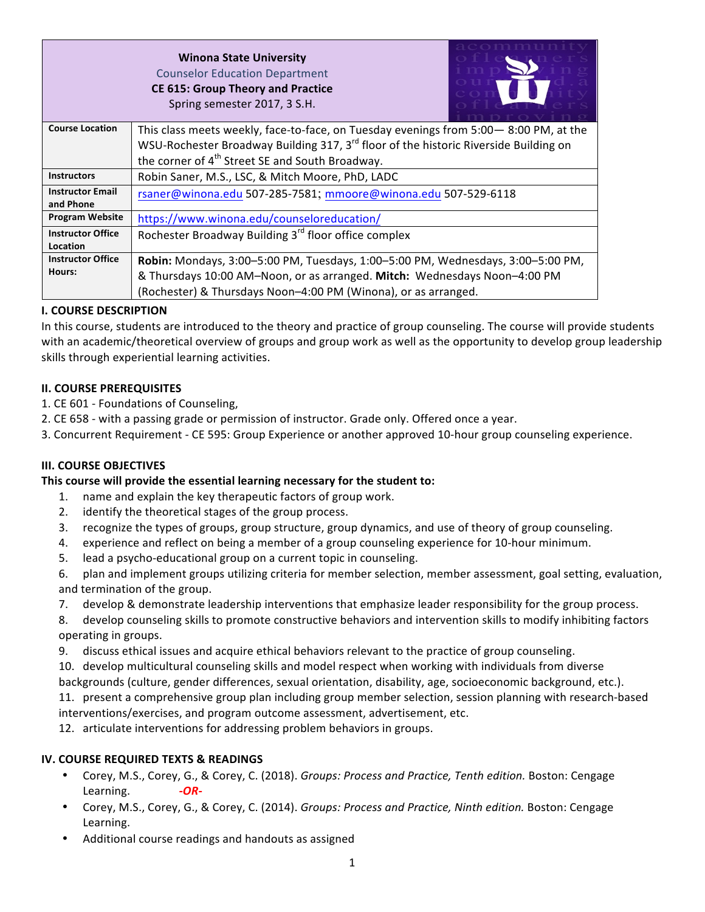| <b>Winona State University</b>           |
|------------------------------------------|
| <b>Counselor Education Department</b>    |
| <b>CE 615: Group Theory and Practice</b> |
| Spring semester 2017, 3 S.H.             |



| <b>Course Location</b>   | This class meets weekly, face-to-face, on Tuesday evenings from 5:00 - 8:00 PM, at the           |
|--------------------------|--------------------------------------------------------------------------------------------------|
|                          | WSU-Rochester Broadway Building 317, 3 <sup>rd</sup> floor of the historic Riverside Building on |
|                          | the corner of 4 <sup>th</sup> Street SE and South Broadway.                                      |
| <b>Instructors</b>       | Robin Saner, M.S., LSC, & Mitch Moore, PhD, LADC                                                 |
| <b>Instructor Email</b>  | rsaner@winona.edu 507-285-7581; mmoore@winona.edu 507-529-6118                                   |
| and Phone                |                                                                                                  |
| <b>Program Website</b>   | https://www.winona.edu/counseloreducation/                                                       |
| <b>Instructor Office</b> | Rochester Broadway Building 3 <sup>rd</sup> floor office complex                                 |
| Location                 |                                                                                                  |
| <b>Instructor Office</b> | Robin: Mondays, 3:00-5:00 PM, Tuesdays, 1:00-5:00 PM, Wednesdays, 3:00-5:00 PM,                  |
| Hours:                   | & Thursdays 10:00 AM-Noon, or as arranged. Mitch: Wednesdays Noon-4:00 PM                        |
|                          | (Rochester) & Thursdays Noon-4:00 PM (Winona), or as arranged.                                   |

### **I. COURSE DESCRIPTION**

In this course, students are introduced to the theory and practice of group counseling. The course will provide students with an academic/theoretical overview of groups and group work as well as the opportunity to develop group leadership skills through experiential learning activities.

### **II. COURSE PREREQUISITES**

1. CE 601 - Foundations of Counseling,

- 2. CE 658 with a passing grade or permission of instructor. Grade only. Offered once a year.
- 3. Concurrent Requirement CE 595: Group Experience or another approved 10-hour group counseling experience.

## **III. COURSE OBJECTIVES**

#### This course will provide the essential learning necessary for the student to:

- 1. name and explain the key therapeutic factors of group work.
- 2. identify the theoretical stages of the group process.
- 3. recognize the types of groups, group structure, group dynamics, and use of theory of group counseling.
- 4. experience and reflect on being a member of a group counseling experience for 10-hour minimum.
- 5. lead a psycho-educational group on a current topic in counseling.
- 6. plan and implement groups utilizing criteria for member selection, member assessment, goal setting, evaluation, and termination of the group.
- 7. develop & demonstrate leadership interventions that emphasize leader responsibility for the group process.

8. develop counseling skills to promote constructive behaviors and intervention skills to modify inhibiting factors operating in groups.

9. discuss ethical issues and acquire ethical behaviors relevant to the practice of group counseling.

10. develop multicultural counseling skills and model respect when working with individuals from diverse

backgrounds (culture, gender differences, sexual orientation, disability, age, socioeconomic background, etc.).

11. present a comprehensive group plan including group member selection, session planning with research-based interventions/exercises, and program outcome assessment, advertisement, etc.

12. articulate interventions for addressing problem behaviors in groups.

#### **IV. COURSE REQUIRED TEXTS & READINGS**

- Corey, M.S., Corey, G., & Corey, C. (2018). *Groups: Process and Practice, Tenth edition.* Boston: Cengage Learning. *-OR-*
- Corey, M.S., Corey, G., & Corey, C. (2014). *Groups: Process and Practice, Ninth edition.* Boston: Cengage Learning.
- Additional course readings and handouts as assigned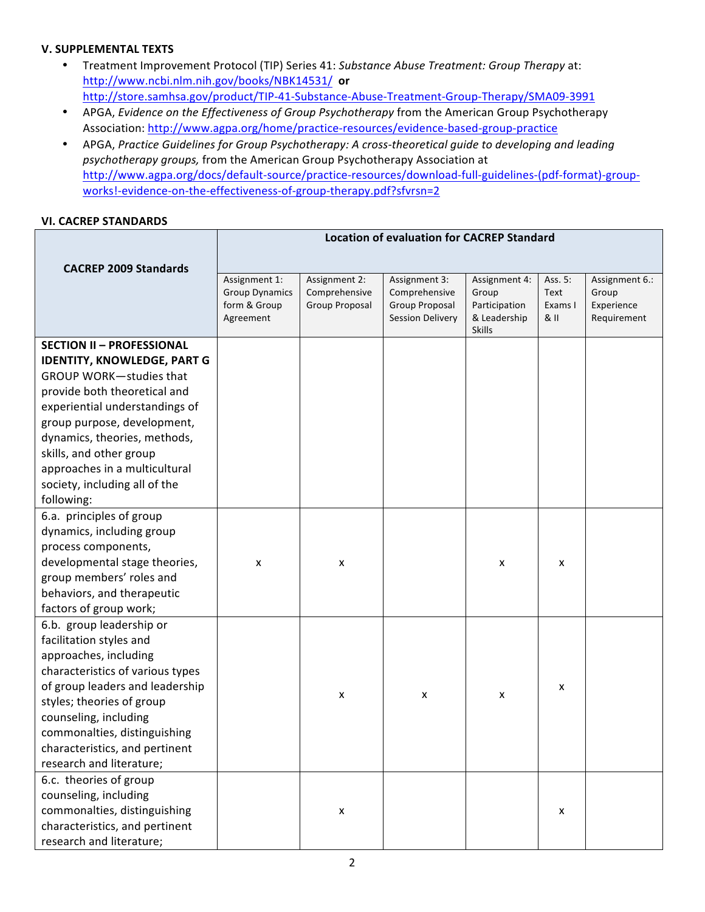### **V. SUPPLEMENTAL TEXTS**

- Treatment Improvement Protocol (TIP) Series 41: Substance Abuse Treatment: Group Therapy at: http://www.ncbi.nlm.nih.gov/books/NBK14531/ **or** http://store.samhsa.gov/product/TIP-41-Substance-Abuse-Treatment-Group-Therapy/SMA09-3991
- APGA, *Evidence on the Effectiveness of Group Psychotherapy* from the American Group Psychotherapy Association: http://www.agpa.org/home/practice-resources/evidence-based-group-practice
- APGA, Practice Guidelines for Group Psychotherapy: A cross-theoretical guide to developing and leading psychotherapy groups, from the American Group Psychotherapy Association at http://www.agpa.org/docs/default-source/practice-resources/download-full-guidelines-(pdf-format)-groupworks!-evidence-on-the-effectiveness-of-group-therapy.pdf?sfvrsn=2

### **VI. CACREP STANDARDS**

|                                                                                                                                                                                                                                                                                                                                                      | <b>Location of evaluation for CACREP Standard</b>                   |                                                  |                                                                             |                                                                          |                                    |                                                      |
|------------------------------------------------------------------------------------------------------------------------------------------------------------------------------------------------------------------------------------------------------------------------------------------------------------------------------------------------------|---------------------------------------------------------------------|--------------------------------------------------|-----------------------------------------------------------------------------|--------------------------------------------------------------------------|------------------------------------|------------------------------------------------------|
|                                                                                                                                                                                                                                                                                                                                                      |                                                                     |                                                  |                                                                             |                                                                          |                                    |                                                      |
| <b>CACREP 2009 Standards</b>                                                                                                                                                                                                                                                                                                                         | Assignment 1:<br><b>Group Dynamics</b><br>form & Group<br>Agreement | Assignment 2:<br>Comprehensive<br>Group Proposal | Assignment 3:<br>Comprehensive<br>Group Proposal<br><b>Session Delivery</b> | Assignment 4:<br>Group<br>Participation<br>& Leadership<br><b>Skills</b> | Ass. 5:<br>Text<br>Exams I<br>& II | Assignment 6.:<br>Group<br>Experience<br>Requirement |
| <b>SECTION II - PROFESSIONAL</b><br><b>IDENTITY, KNOWLEDGE, PART G</b><br><b>GROUP WORK-studies that</b><br>provide both theoretical and<br>experiential understandings of<br>group purpose, development,<br>dynamics, theories, methods,<br>skills, and other group<br>approaches in a multicultural<br>society, including all of the<br>following: |                                                                     |                                                  |                                                                             |                                                                          |                                    |                                                      |
| 6.a. principles of group<br>dynamics, including group<br>process components,<br>developmental stage theories,<br>group members' roles and<br>behaviors, and therapeutic<br>factors of group work;                                                                                                                                                    | X                                                                   | X                                                |                                                                             | X                                                                        | x                                  |                                                      |
| 6.b. group leadership or<br>facilitation styles and<br>approaches, including<br>characteristics of various types<br>of group leaders and leadership<br>styles; theories of group<br>counseling, including<br>commonalties, distinguishing<br>characteristics, and pertinent<br>research and literature;                                              |                                                                     | X                                                | x                                                                           | x                                                                        | x                                  |                                                      |
| 6.c. theories of group<br>counseling, including<br>commonalties, distinguishing<br>characteristics, and pertinent<br>research and literature;                                                                                                                                                                                                        |                                                                     | $\pmb{\mathsf{X}}$                               |                                                                             |                                                                          | x                                  |                                                      |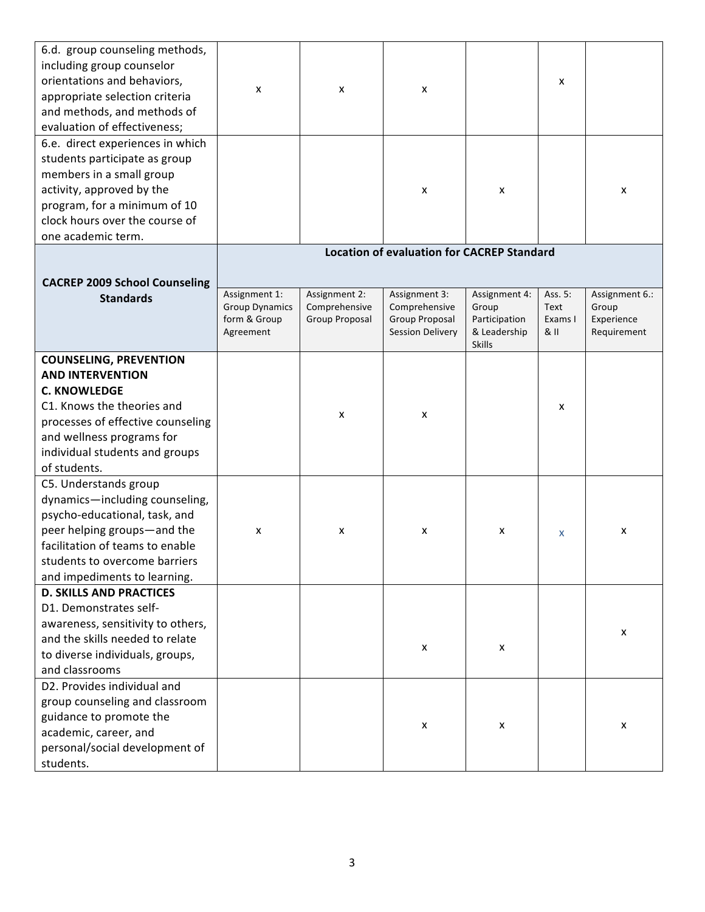| 6.d. group counseling methods,<br>including group counselor<br>orientations and behaviors,<br>appropriate selection criteria<br>and methods, and methods of<br>evaluation of effectiveness;                                       | x                                                                   | x                                                | X                                                                           |                                                                          | x                                |                                                      |
|-----------------------------------------------------------------------------------------------------------------------------------------------------------------------------------------------------------------------------------|---------------------------------------------------------------------|--------------------------------------------------|-----------------------------------------------------------------------------|--------------------------------------------------------------------------|----------------------------------|------------------------------------------------------|
| 6.e. direct experiences in which<br>students participate as group<br>members in a small group<br>activity, approved by the<br>program, for a minimum of 10<br>clock hours over the course of<br>one academic term.                |                                                                     |                                                  | x                                                                           | X                                                                        |                                  | x                                                    |
|                                                                                                                                                                                                                                   |                                                                     |                                                  | <b>Location of evaluation for CACREP Standard</b>                           |                                                                          |                                  |                                                      |
| <b>CACREP 2009 School Counseling</b><br><b>Standards</b>                                                                                                                                                                          | Assignment 1:<br><b>Group Dynamics</b><br>form & Group<br>Agreement | Assignment 2:<br>Comprehensive<br>Group Proposal | Assignment 3:<br>Comprehensive<br>Group Proposal<br><b>Session Delivery</b> | Assignment 4:<br>Group<br>Participation<br>& Leadership<br><b>Skills</b> | Ass. 5:<br>Text<br>Exams I<br>8H | Assignment 6.:<br>Group<br>Experience<br>Requirement |
| <b>COUNSELING, PREVENTION</b><br><b>AND INTERVENTION</b><br><b>C. KNOWLEDGE</b><br>C1. Knows the theories and<br>processes of effective counseling<br>and wellness programs for<br>individual students and groups<br>of students. |                                                                     | x                                                | x                                                                           |                                                                          | x                                |                                                      |
| C5. Understands group<br>dynamics-including counseling,<br>psycho-educational, task, and<br>peer helping groups-and the<br>facilitation of teams to enable<br>students to overcome barriers<br>and impediments to learning.       | x                                                                   | x                                                | x                                                                           | x                                                                        | x                                | x                                                    |
| <b>D. SKILLS AND PRACTICES</b><br>D1. Demonstrates self-<br>awareness, sensitivity to others,<br>and the skills needed to relate<br>to diverse individuals, groups,<br>and classrooms                                             |                                                                     |                                                  | X                                                                           | x                                                                        |                                  | x                                                    |
| D2. Provides individual and<br>group counseling and classroom<br>guidance to promote the<br>academic, career, and<br>personal/social development of<br>students.                                                                  |                                                                     |                                                  | x                                                                           | X                                                                        |                                  | x                                                    |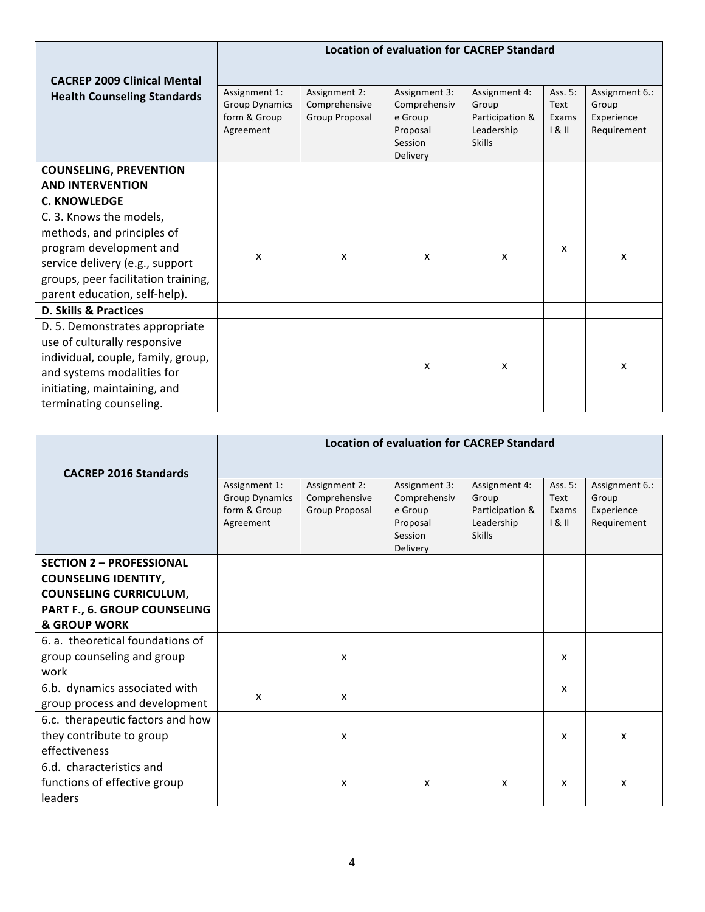|                                                                                                                                                                                               | <b>Location of evaluation for CACREP Standard</b>                   |                                                  |                                                                             |                                                                          |                                 |                                                      |
|-----------------------------------------------------------------------------------------------------------------------------------------------------------------------------------------------|---------------------------------------------------------------------|--------------------------------------------------|-----------------------------------------------------------------------------|--------------------------------------------------------------------------|---------------------------------|------------------------------------------------------|
| <b>CACREP 2009 Clinical Mental</b>                                                                                                                                                            |                                                                     |                                                  |                                                                             |                                                                          |                                 |                                                      |
| <b>Health Counseling Standards</b>                                                                                                                                                            | Assignment 1:<br><b>Group Dynamics</b><br>form & Group<br>Agreement | Assignment 2:<br>Comprehensive<br>Group Proposal | Assignment 3:<br>Comprehensiv<br>e Group<br>Proposal<br>Session<br>Delivery | Assignment 4:<br>Group<br>Participation &<br>Leadership<br><b>Skills</b> | Ass. 5:<br>Text<br>Exams<br>181 | Assignment 6.:<br>Group<br>Experience<br>Requirement |
| <b>COUNSELING, PREVENTION</b>                                                                                                                                                                 |                                                                     |                                                  |                                                                             |                                                                          |                                 |                                                      |
| <b>AND INTERVENTION</b>                                                                                                                                                                       |                                                                     |                                                  |                                                                             |                                                                          |                                 |                                                      |
| <b>C. KNOWLEDGE</b>                                                                                                                                                                           |                                                                     |                                                  |                                                                             |                                                                          |                                 |                                                      |
| C. 3. Knows the models,<br>methods, and principles of<br>program development and<br>service delivery (e.g., support<br>groups, peer facilitation training,<br>parent education, self-help).   | x                                                                   | X                                                | x                                                                           | x                                                                        | x                               | x                                                    |
| <b>D. Skills &amp; Practices</b>                                                                                                                                                              |                                                                     |                                                  |                                                                             |                                                                          |                                 |                                                      |
| D. 5. Demonstrates appropriate<br>use of culturally responsive<br>individual, couple, family, group,<br>and systems modalities for<br>initiating, maintaining, and<br>terminating counseling. |                                                                     |                                                  | x                                                                           | x                                                                        |                                 | x                                                    |

|                                  | <b>Location of evaluation for CACREP Standard</b>                   |                                                  |                                                                             |                                                                          |                                 |                                                      |
|----------------------------------|---------------------------------------------------------------------|--------------------------------------------------|-----------------------------------------------------------------------------|--------------------------------------------------------------------------|---------------------------------|------------------------------------------------------|
| <b>CACREP 2016 Standards</b>     |                                                                     |                                                  |                                                                             |                                                                          |                                 |                                                      |
|                                  | Assignment 1:<br><b>Group Dynamics</b><br>form & Group<br>Agreement | Assignment 2:<br>Comprehensive<br>Group Proposal | Assignment 3:<br>Comprehensiv<br>e Group<br>Proposal<br>Session<br>Delivery | Assignment 4:<br>Group<br>Participation &<br>Leadership<br><b>Skills</b> | Ass. 5:<br>Text<br>Exams<br>181 | Assignment 6.:<br>Group<br>Experience<br>Requirement |
| <b>SECTION 2 - PROFESSIONAL</b>  |                                                                     |                                                  |                                                                             |                                                                          |                                 |                                                      |
| <b>COUNSELING IDENTITY,</b>      |                                                                     |                                                  |                                                                             |                                                                          |                                 |                                                      |
| <b>COUNSELING CURRICULUM,</b>    |                                                                     |                                                  |                                                                             |                                                                          |                                 |                                                      |
| PART F., 6. GROUP COUNSELING     |                                                                     |                                                  |                                                                             |                                                                          |                                 |                                                      |
| <b>&amp; GROUP WORK</b>          |                                                                     |                                                  |                                                                             |                                                                          |                                 |                                                      |
| 6. a. theoretical foundations of |                                                                     |                                                  |                                                                             |                                                                          |                                 |                                                      |
| group counseling and group       |                                                                     | X                                                |                                                                             |                                                                          | x                               |                                                      |
| work                             |                                                                     |                                                  |                                                                             |                                                                          |                                 |                                                      |
| 6.b. dynamics associated with    | X                                                                   | X                                                |                                                                             |                                                                          | x                               |                                                      |
| group process and development    |                                                                     |                                                  |                                                                             |                                                                          |                                 |                                                      |
| 6.c. therapeutic factors and how |                                                                     |                                                  |                                                                             |                                                                          |                                 |                                                      |
| they contribute to group         |                                                                     | X                                                |                                                                             |                                                                          | x                               | x                                                    |
| effectiveness                    |                                                                     |                                                  |                                                                             |                                                                          |                                 |                                                      |
| 6.d. characteristics and         |                                                                     |                                                  |                                                                             |                                                                          |                                 |                                                      |
| functions of effective group     |                                                                     | x                                                | x                                                                           | $\boldsymbol{\mathsf{x}}$                                                | x                               | X                                                    |
| leaders                          |                                                                     |                                                  |                                                                             |                                                                          |                                 |                                                      |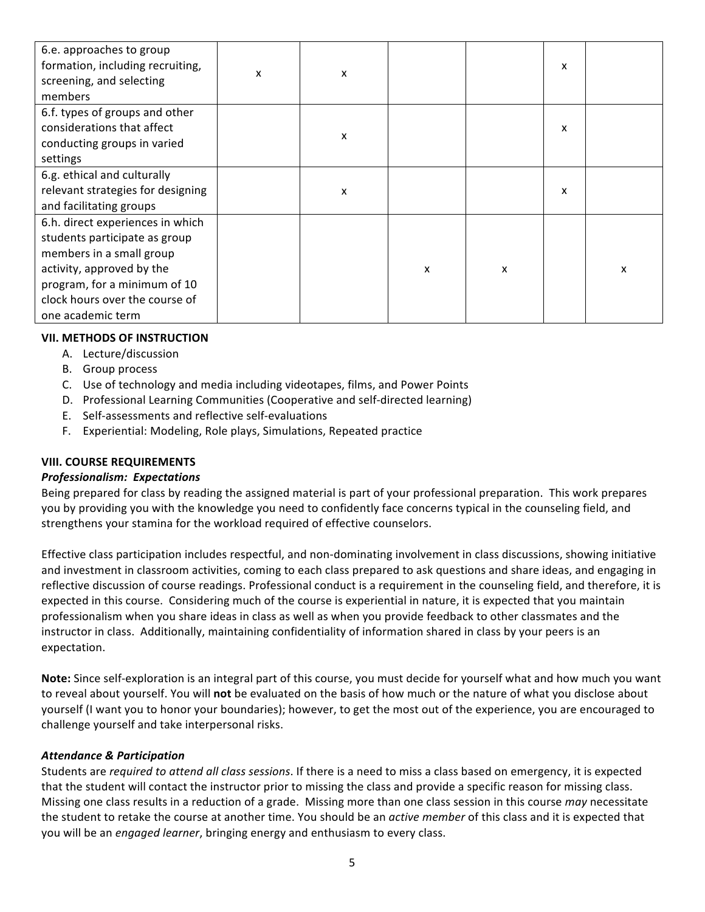| 6.e. approaches to group<br>formation, including recruiting,<br>screening, and selecting<br>members                                                                                                               | X | x |   |   | x |   |
|-------------------------------------------------------------------------------------------------------------------------------------------------------------------------------------------------------------------|---|---|---|---|---|---|
| 6.f. types of groups and other<br>considerations that affect<br>conducting groups in varied<br>settings                                                                                                           |   | X |   |   | x |   |
| 6.g. ethical and culturally<br>relevant strategies for designing<br>and facilitating groups                                                                                                                       |   | X |   |   | x |   |
| 6.h. direct experiences in which<br>students participate as group<br>members in a small group<br>activity, approved by the<br>program, for a minimum of 10<br>clock hours over the course of<br>one academic term |   |   | X | X |   | x |

### **VII. METHODS OF INSTRUCTION**

- A. Lecture/discussion
- B. Group process
- C. Use of technology and media including videotapes, films, and Power Points
- D. Professional Learning Communities (Cooperative and self-directed learning)
- E. Self-assessments and reflective self-evaluations
- F. Experiential: Modeling, Role plays, Simulations, Repeated practice

#### **VIII. COURSE REQUIREMENTS**

#### *Professionalism: Expectations*

Being prepared for class by reading the assigned material is part of your professional preparation. This work prepares you by providing you with the knowledge you need to confidently face concerns typical in the counseling field, and strengthens your stamina for the workload required of effective counselors.

Effective class participation includes respectful, and non-dominating involvement in class discussions, showing initiative and investment in classroom activities, coming to each class prepared to ask questions and share ideas, and engaging in reflective discussion of course readings. Professional conduct is a requirement in the counseling field, and therefore, it is expected in this course. Considering much of the course is experiential in nature, it is expected that you maintain professionalism when you share ideas in class as well as when you provide feedback to other classmates and the instructor in class. Additionally, maintaining confidentiality of information shared in class by your peers is an expectation. 

Note: Since self-exploration is an integral part of this course, you must decide for yourself what and how much you want to reveal about yourself. You will **not** be evaluated on the basis of how much or the nature of what you disclose about yourself (I want you to honor your boundaries); however, to get the most out of the experience, you are encouraged to challenge yourself and take interpersonal risks.

#### *Attendance & Participation*

Students are *required to attend all class sessions*. If there is a need to miss a class based on emergency, it is expected that the student will contact the instructor prior to missing the class and provide a specific reason for missing class. Missing one class results in a reduction of a grade. Missing more than one class session in this course may necessitate the student to retake the course at another time. You should be an *active member* of this class and it is expected that you will be an *engaged learner*, bringing energy and enthusiasm to every class.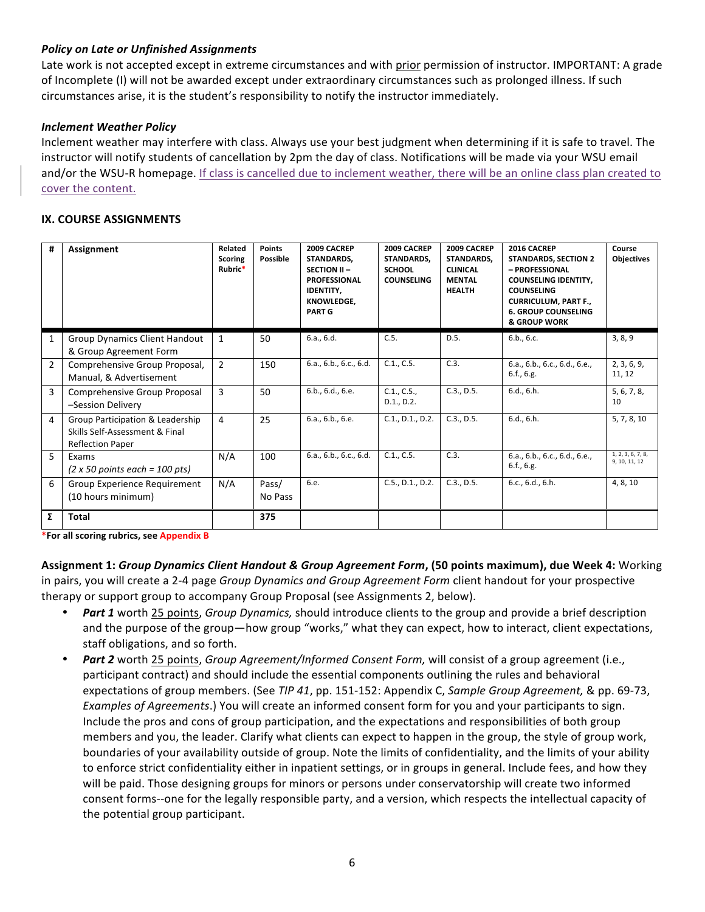### **Policy on Late or Unfinished Assignments**

Late work is not accepted except in extreme circumstances and with prior permission of instructor. IMPORTANT: A grade of Incomplete (I) will not be awarded except under extraordinary circumstances such as prolonged illness. If such circumstances arise, it is the student's responsibility to notify the instructor immediately.

#### **Inclement Weather Policy**

Inclement weather may interfere with class. Always use your best judgment when determining if it is safe to travel. The instructor will notify students of cancellation by 2pm the day of class. Notifications will be made via your WSU email and/or the WSU-R homepage. If class is cancelled due to inclement weather, there will be an online class plan created to cover the content.

#### **IX. COURSE ASSIGNMENTS**

| #             | Assignment                                                                                    | Related<br><b>Scoring</b><br>Rubric* | <b>Points</b><br>Possible | 2009 CACREP<br>STANDARDS.<br>SECTION II-<br><b>PROFESSIONAL</b><br><b>IDENTITY.</b><br><b>KNOWLEDGE.</b><br><b>PART G</b> | 2009 CACREP<br><b>STANDARDS.</b><br><b>SCHOOL</b><br><b>COUNSELING</b> | 2009 CACREP<br><b>STANDARDS.</b><br><b>CLINICAL</b><br><b>MENTAL</b><br><b>HEALTH</b> | 2016 CACREP<br><b>STANDARDS, SECTION 2</b><br>- PROFESSIONAL<br><b>COUNSELING IDENTITY,</b><br><b>COUNSELING</b><br><b>CURRICULUM, PART F.,</b><br><b>6. GROUP COUNSELING</b><br>& GROUP WORK | Course<br>Objectives               |
|---------------|-----------------------------------------------------------------------------------------------|--------------------------------------|---------------------------|---------------------------------------------------------------------------------------------------------------------------|------------------------------------------------------------------------|---------------------------------------------------------------------------------------|-----------------------------------------------------------------------------------------------------------------------------------------------------------------------------------------------|------------------------------------|
| $\mathbf{1}$  | <b>Group Dynamics Client Handout</b><br>& Group Agreement Form                                | 1                                    | 50                        | 6.a., 6.d.                                                                                                                | C.5.                                                                   | D.5.                                                                                  | 6.b., 6.c.                                                                                                                                                                                    | 3, 8, 9                            |
| $\mathcal{P}$ | Comprehensive Group Proposal,<br>Manual, & Advertisement                                      | $\overline{2}$                       | 150                       | 6.a., 6.b., 6.c., 6.d.                                                                                                    | C.1., C.5.                                                             | C.3.                                                                                  | 6.a., 6.b., 6.c., 6.d., 6.e.,<br>6.f., 6.g.                                                                                                                                                   | 2, 3, 6, 9,<br>11, 12              |
| 3             | Comprehensive Group Proposal<br>-Session Delivery                                             | 3                                    | 50                        | 6.b., 6.d., 6.e.                                                                                                          | C.1., C.5.,<br>D.1., D.2.                                              | C.3., D.5.                                                                            | 6.d., 6.h.                                                                                                                                                                                    | 5, 6, 7, 8,<br>10                  |
| 4             | Group Participation & Leadership<br>Skills Self-Assessment & Final<br><b>Reflection Paper</b> | $\overline{4}$                       | 25                        | 6.a., 6.b., 6.e.                                                                                                          | C.1., D.1., D.2.                                                       | C.3., D.5.                                                                            | 6.d., 6.h.                                                                                                                                                                                    | 5, 7, 8, 10                        |
| 5.            | Exams<br>$(2 \times 50 \text{ points each} = 100 \text{ pts})$                                | N/A                                  | 100                       | 6.a., 6.b., 6.c., 6.d.                                                                                                    | C.1., C.5.                                                             | C.3.                                                                                  | 6.a., 6.b., 6.c., 6.d., 6.e.,<br>6.f., 6.g.                                                                                                                                                   | 1, 2, 3, 6, 7, 8,<br>9, 10, 11, 12 |
| 6             | <b>Group Experience Requirement</b><br>(10 hours minimum)                                     | N/A                                  | Pass/<br>No Pass          | 6.e.                                                                                                                      | C.5 D.1 D.2.                                                           | C.3., D.5.                                                                            | 6.c., 6.d., 6.h.                                                                                                                                                                              | 4, 8, 10                           |
| Σ             | Total                                                                                         |                                      | 375                       |                                                                                                                           |                                                                        |                                                                                       |                                                                                                                                                                                               |                                    |

\*For all scoring rubrics, see Appendix B

**Assignment 1:** *Group Dynamics Client Handout & Group Agreement Form***, (50 points maximum), due Week 4: Working** in pairs, you will create a 2-4 page *Group Dynamics and Group Agreement Form* client handout for your prospective therapy or support group to accompany Group Proposal (see Assignments 2, below).

- *Part 1* worth 25 points, *Group Dynamics*, should introduce clients to the group and provide a brief description and the purpose of the group—how group "works," what they can expect, how to interact, client expectations, staff obligations, and so forth.
- **Part 2** worth 25 points, *Group Agreement/Informed Consent Form*, will consist of a group agreement (i.e., participant contract) and should include the essential components outlining the rules and behavioral expectations of group members. (See TIP 41, pp. 151-152: Appendix C, *Sample Group Agreement*, & pp. 69-73, *Examples of Agreements*.) You will create an informed consent form for you and your participants to sign. Include the pros and cons of group participation, and the expectations and responsibilities of both group members and you, the leader. Clarify what clients can expect to happen in the group, the style of group work, boundaries of your availability outside of group. Note the limits of confidentiality, and the limits of your ability to enforce strict confidentiality either in inpatient settings, or in groups in general. Include fees, and how they will be paid. Those designing groups for minors or persons under conservatorship will create two informed consent forms--one for the legally responsible party, and a version, which respects the intellectual capacity of the potential group participant.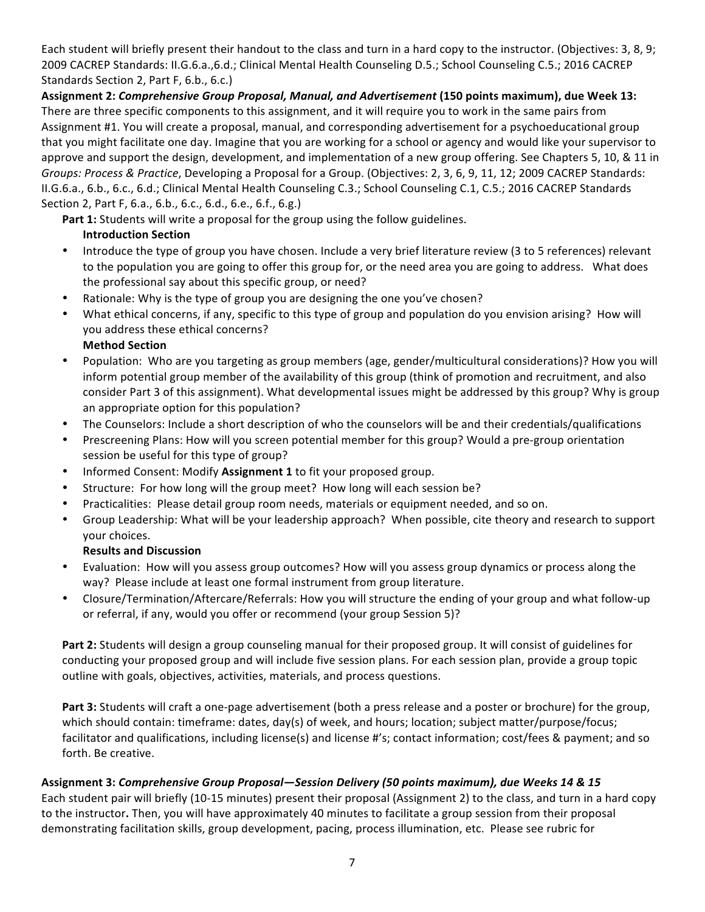Each student will briefly present their handout to the class and turn in a hard copy to the instructor. (Objectives: 3, 8, 9; 2009 CACREP Standards: II.G.6.a.,6.d.; Clinical Mental Health Counseling D.5.; School Counseling C.5.; 2016 CACREP Standards Section 2, Part F, 6.b., 6.c.)

Assignment 2: Comprehensive Group Proposal, Manual, and Advertisement (150 points maximum), due Week 13: There are three specific components to this assignment, and it will require you to work in the same pairs from Assignment #1. You will create a proposal, manual, and corresponding advertisement for a psychoeducational group that you might facilitate one day. Imagine that you are working for a school or agency and would like your supervisor to approve and support the design, development, and implementation of a new group offering. See Chapters 5, 10, & 11 in *Groups: Process & Practice, Developing a Proposal for a Group.* (Objectives: 2, 3, 6, 9, 11, 12; 2009 CACREP Standards: II.G.6.a., 6.b., 6.c., 6.d.; Clinical Mental Health Counseling C.3.; School Counseling C.1, C.5.; 2016 CACREP Standards Section 2, Part F, 6.a., 6.b., 6.c., 6.d., 6.e., 6.f., 6.g.)

Part 1: Students will write a proposal for the group using the follow guidelines. **Introduction Section** 

- Introduce the type of group you have chosen. Include a very brief literature review (3 to 5 references) relevant to the population you are going to offer this group for, or the need area you are going to address. What does the professional say about this specific group, or need?
- Rationale: Why is the type of group you are designing the one you've chosen?
- What ethical concerns, if any, specific to this type of group and population do you envision arising? How will you address these ethical concerns?
	- **Method Section**
- Population: Who are you targeting as group members (age, gender/multicultural considerations)? How you will inform potential group member of the availability of this group (think of promotion and recruitment, and also consider Part 3 of this assignment). What developmental issues might be addressed by this group? Why is group an appropriate option for this population?
- The Counselors: Include a short description of who the counselors will be and their credentials/qualifications
- Prescreening Plans: How will you screen potential member for this group? Would a pre-group orientation session be useful for this type of group?
- Informed Consent: Modify Assignment 1 to fit your proposed group.
- Structure: For how long will the group meet? How long will each session be?
- Practicalities: Please detail group room needs, materials or equipment needed, and so on.
- Group Leadership: What will be your leadership approach? When possible, cite theory and research to support your choices.

#### **Results and Discussion**

- Evaluation: How will you assess group outcomes? How will you assess group dynamics or process along the way? Please include at least one formal instrument from group literature.
- Closure/Termination/Aftercare/Referrals: How you will structure the ending of your group and what follow-up or referral, if any, would you offer or recommend (your group Session 5)?

Part 2: Students will design a group counseling manual for their proposed group. It will consist of guidelines for conducting your proposed group and will include five session plans. For each session plan, provide a group topic outline with goals, objectives, activities, materials, and process questions.

**Part 3:** Students will craft a one-page advertisement (both a press release and a poster or brochure) for the group, which should contain: timeframe: dates, day(s) of week, and hours; location; subject matter/purpose/focus; facilitator and qualifications, including license(s) and license #'s; contact information; cost/fees & payment; and so forth. Be creative.

## **Assignment 3:** *Comprehensive Group Proposal—Session Delivery (50 points maximum), due Weeks 14 & 15*

Each student pair will briefly (10-15 minutes) present their proposal (Assignment 2) to the class, and turn in a hard copy to the instructor. Then, you will have approximately 40 minutes to facilitate a group session from their proposal demonstrating facilitation skills, group development, pacing, process illumination, etc. Please see rubric for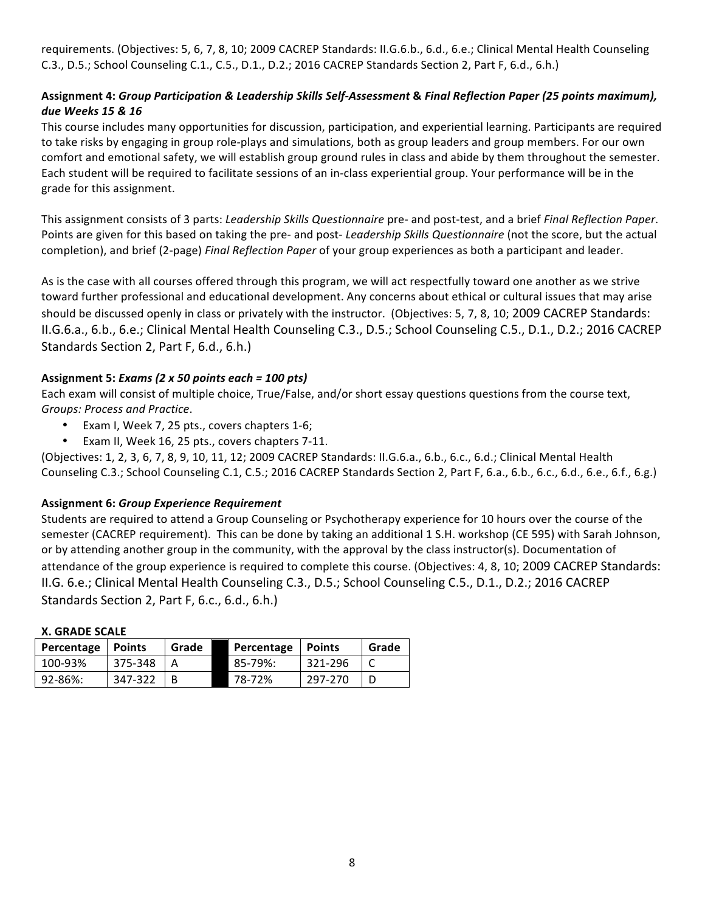requirements. (Objectives: 5, 6, 7, 8, 10; 2009 CACREP Standards: II.G.6.b., 6.d., 6.e.; Clinical Mental Health Counseling C.3., D.5.; School Counseling C.1., C.5., D.1., D.2.; 2016 CACREP Standards Section 2, Part F, 6.d., 6.h.)

## **Assignment 4:** *Group Participation & Leadership Skills Self-Assessment* **&** *Final Reflection Paper (25 points maximum), due Weeks 15 & 16*

This course includes many opportunities for discussion, participation, and experiential learning. Participants are required to take risks by engaging in group role-plays and simulations, both as group leaders and group members. For our own comfort and emotional safety, we will establish group ground rules in class and abide by them throughout the semester. Each student will be required to facilitate sessions of an in-class experiential group. Your performance will be in the grade for this assignment.

This assignment consists of 3 parts: *Leadership Skills Questionnaire* pre- and post-test, and a brief *Final Reflection Paper*. Points are given for this based on taking the pre- and post- Leadership Skills Questionnaire (not the score, but the actual completion), and brief (2-page) *Final Reflection Paper* of your group experiences as both a participant and leader.

As is the case with all courses offered through this program, we will act respectfully toward one another as we strive toward further professional and educational development. Any concerns about ethical or cultural issues that may arise should be discussed openly in class or privately with the instructor. (Objectives: 5, 7, 8, 10; 2009 CACREP Standards: II.G.6.a., 6.b., 6.e.; Clinical Mental Health Counseling C.3., D.5.; School Counseling C.5., D.1., D.2.; 2016 CACREP Standards Section 2, Part F, 6.d., 6.h.)

## **Assignment 5:** *Exams (2 x 50 points each = 100 pts)*

Each exam will consist of multiple choice, True/False, and/or short essay questions questions from the course text, *Groups: Process and Practice*.

- Exam I, Week 7, 25 pts., covers chapters 1-6;
- Exam II, Week 16, 25 pts., covers chapters 7-11.

(Objectives: 1, 2, 3, 6, 7, 8, 9, 10, 11, 12; 2009 CACREP Standards: II.G.6.a., 6.b., 6.c., 6.d.; Clinical Mental Health Counseling C.3.; School Counseling C.1, C.5.; 2016 CACREP Standards Section 2, Part F, 6.a., 6.b., 6.c., 6.d., 6.e., 6.f., 6.g.)

## **Assignment 6:** *Group Experience Requirement*

Students are required to attend a Group Counseling or Psychotherapy experience for 10 hours over the course of the semester (CACREP requirement). This can be done by taking an additional 1 S.H. workshop (CE 595) with Sarah Johnson, or by attending another group in the community, with the approval by the class instructor(s). Documentation of attendance of the group experience is required to complete this course. (Objectives: 4, 8, 10; 2009 CACREP Standards: II.G. 6.e.; Clinical Mental Health Counseling C.3., D.5.; School Counseling C.5., D.1., D.2.; 2016 CACREP Standards Section 2, Part F, 6.c., 6.d., 6.h.)

| W. AINUL JUULL |               |       |            |               |       |  |  |
|----------------|---------------|-------|------------|---------------|-------|--|--|
| Percentage     | <b>Points</b> | Grade | Percentage | <b>Points</b> | Grade |  |  |
| 100-93%        | 375-348       |       | 85-79%:    | 321-296       |       |  |  |
| 92-86%:        | 347-322       |       | 78-72%     | 297-270       |       |  |  |

#### **X. GRADE SCALE**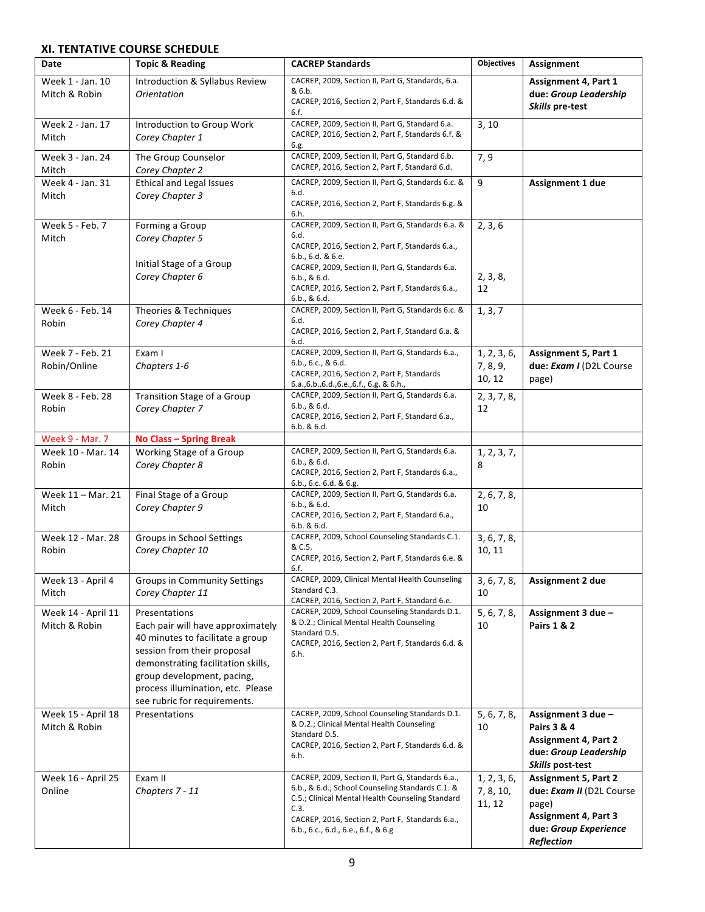## **XI. TENTATIVE COURSE SCHEDULE**

| Date                                | <b>Topic &amp; Reading</b>                                                                                                                                                                                                                                     | <b>CACREP Standards</b>                                                                                                                                                                                                                                                     | Objectives                         | Assignment                                                                                                                                    |
|-------------------------------------|----------------------------------------------------------------------------------------------------------------------------------------------------------------------------------------------------------------------------------------------------------------|-----------------------------------------------------------------------------------------------------------------------------------------------------------------------------------------------------------------------------------------------------------------------------|------------------------------------|-----------------------------------------------------------------------------------------------------------------------------------------------|
| Week 1 - Jan. 10<br>Mitch & Robin   | Introduction & Syllabus Review<br><b>Orientation</b>                                                                                                                                                                                                           | CACREP, 2009, Section II, Part G, Standards, 6.a.<br>& 6.b.<br>CACREP, 2016, Section 2, Part F, Standards 6.d. &<br>6.f.                                                                                                                                                    |                                    | Assignment 4, Part 1<br>due: Group Leadership<br>Skills pre-test                                                                              |
| Week 2 - Jan. 17<br>Mitch           | Introduction to Group Work<br>Corey Chapter 1                                                                                                                                                                                                                  | CACREP, 2009, Section II, Part G, Standard 6.a.<br>CACREP, 2016, Section 2, Part F, Standards 6.f. &<br>6.g.                                                                                                                                                                | 3, 10                              |                                                                                                                                               |
| Week 3 - Jan. 24<br>Mitch           | The Group Counselor<br>Corey Chapter 2                                                                                                                                                                                                                         | CACREP, 2009, Section II, Part G, Standard 6.b.<br>CACREP, 2016, Section 2, Part F, Standard 6.d.                                                                                                                                                                           | 7, 9                               |                                                                                                                                               |
| Week 4 - Jan. 31<br>Mitch           | <b>Ethical and Legal Issues</b><br>Corey Chapter 3                                                                                                                                                                                                             | CACREP, 2009, Section II, Part G, Standards 6.c. &<br>6.d.<br>CACREP, 2016, Section 2, Part F, Standards 6.g. &<br>6.h.                                                                                                                                                     | 9                                  | Assignment 1 due                                                                                                                              |
| Week 5 - Feb. 7<br>Mitch            | Forming a Group<br>Corey Chapter 5<br>Initial Stage of a Group<br>Corey Chapter 6                                                                                                                                                                              | CACREP, 2009, Section II, Part G, Standards 6.a. &<br>6.d.<br>CACREP, 2016, Section 2, Part F, Standards 6.a.,<br>6.b., 6.d. & 6.e.<br>CACREP, 2009, Section II, Part G, Standards 6.a.<br>6.b., & 6.d.<br>CACREP, 2016, Section 2, Part F, Standards 6.a.,<br>6.b., & 6.d. | 2, 3, 6<br>2, 3, 8,<br>12          |                                                                                                                                               |
| Week 6 - Feb. 14<br>Robin           | Theories & Techniques<br>Corey Chapter 4                                                                                                                                                                                                                       | CACREP, 2009, Section II, Part G, Standards 6.c. &<br>6.d.<br>CACREP, 2016, Section 2, Part F, Standard 6.a. &<br>6.d.                                                                                                                                                      | 1, 3, 7                            |                                                                                                                                               |
| Week 7 - Feb. 21<br>Robin/Online    | Exam I<br>Chapters 1-6                                                                                                                                                                                                                                         | CACREP, 2009, Section II, Part G, Standards 6.a.,<br>6.b., 6.c., 8.6.d.<br>CACREP, 2016, Section 2, Part F, Standards<br>6.a., 6.b., 6.d., 6.e., 6.f., 6.g. & 6.h.,                                                                                                         | 1, 2, 3, 6,<br>7, 8, 9,<br>10, 12  | Assignment 5, Part 1<br>due: Exam I (D2L Course<br>page)                                                                                      |
| Week 8 - Feb. 28<br>Robin           | Transition Stage of a Group<br>Corey Chapter 7                                                                                                                                                                                                                 | CACREP, 2009, Section II, Part G, Standards 6.a.<br>6.b., & 6.d.<br>CACREP, 2016, Section 2, Part F, Standard 6.a.,<br>6.b. & 6.d.                                                                                                                                          | 2, 3, 7, 8,<br>12                  |                                                                                                                                               |
| <b>Week 9 - Mar. 7</b>              | <b>No Class - Spring Break</b>                                                                                                                                                                                                                                 |                                                                                                                                                                                                                                                                             |                                    |                                                                                                                                               |
| Week 10 - Mar. 14<br>Robin          | Working Stage of a Group<br>Corey Chapter 8                                                                                                                                                                                                                    | CACREP, 2009, Section II, Part G, Standards 6.a.<br>6.b., & 6.d.<br>CACREP, 2016, Section 2, Part F, Standards 6.a.,<br>6.b., 6.c. 6.d. 86.g.                                                                                                                               | 1, 2, 3, 7,<br>8                   |                                                                                                                                               |
| Week 11 - Mar. 21<br>Mitch          | Final Stage of a Group<br>Corey Chapter 9                                                                                                                                                                                                                      | CACREP, 2009, Section II, Part G, Standards 6.a.<br>6.b., & 6.d.<br>CACREP, 2016, Section 2, Part F, Standard 6.a.,<br>6.b. & 6.d.                                                                                                                                          | 2, 6, 7, 8,<br>10                  |                                                                                                                                               |
| Week 12 - Mar. 28<br>Robin          | Groups in School Settings<br>Corey Chapter 10                                                                                                                                                                                                                  | CACREP, 2009, School Counseling Standards C.1.<br>& C.5.<br>CACREP, 2016, Section 2, Part F, Standards 6.e. &<br>6.f.                                                                                                                                                       | 3, 6, 7, 8,<br>10, 11              |                                                                                                                                               |
| Week 13 - April 4<br>Mitch          | <b>Groups in Community Settings</b><br>Corey Chapter 11                                                                                                                                                                                                        | CACREP, 2009, Clinical Mental Health Counseling<br>Standard C.3.<br>CACREP, 2016, Section 2, Part F, Standard 6.e.                                                                                                                                                          | 3, 6, 7, 8,<br>10                  | Assignment 2 due                                                                                                                              |
| Week 14 - April 11<br>Mitch & Robin | Presentations<br>Each pair will have approximately<br>40 minutes to facilitate a group<br>session from their proposal<br>demonstrating facilitation skills,<br>group development, pacing,<br>process illumination, etc. Please<br>see rubric for requirements. | CACREP, 2009, School Counseling Standards D.1.<br>& D.2.; Clinical Mental Health Counseling<br>Standard D.5.<br>CACREP, 2016, Section 2, Part F, Standards 6.d. &<br>6.h.                                                                                                   | 5, 6, 7, 8,<br>10                  | Assignment 3 due -<br>Pairs 1 & 2                                                                                                             |
| Week 15 - April 18<br>Mitch & Robin | Presentations                                                                                                                                                                                                                                                  | CACREP, 2009, School Counseling Standards D.1.<br>& D.2.; Clinical Mental Health Counseling<br>Standard D.5.<br>CACREP, 2016, Section 2, Part F, Standards 6.d. &<br>6.h.                                                                                                   | 5, 6, 7, 8,<br>10                  | Assignment 3 due -<br>Pairs 3 & 4<br><b>Assignment 4, Part 2</b><br>due: Group Leadership<br>Skills post-test                                 |
| Week 16 - April 25<br>Online        | Exam II<br>Chapters 7 - 11                                                                                                                                                                                                                                     | CACREP, 2009, Section II, Part G, Standards 6.a.,<br>6.b., & 6.d.; School Counseling Standards C.1. &<br>C.5.; Clinical Mental Health Counseling Standard<br>C.3.<br>CACREP, 2016, Section 2, Part F, Standards 6.a.,<br>6.b., 6.c., 6.d., 6.e., 6.f., & 6.g                | 1, 2, 3, 6,<br>7, 8, 10,<br>11, 12 | <b>Assignment 5, Part 2</b><br>due: Exam II (D2L Course<br>page)<br><b>Assignment 4, Part 3</b><br>due: Group Experience<br><b>Reflection</b> |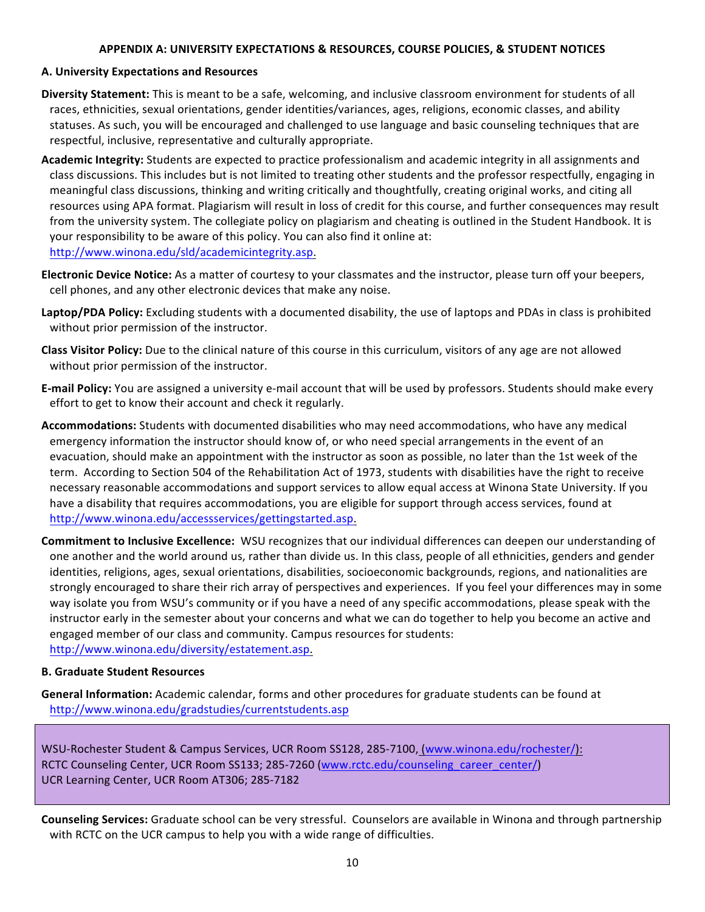#### **APPENDIX A: UNIVERSITY EXPECTATIONS & RESOURCES, COURSE POLICIES, & STUDENT NOTICES**

#### **A. University Expectations and Resources**

- Diversity Statement: This is meant to be a safe, welcoming, and inclusive classroom environment for students of all races, ethnicities, sexual orientations, gender identities/variances, ages, religions, economic classes, and ability statuses. As such, you will be encouraged and challenged to use language and basic counseling techniques that are respectful, inclusive, representative and culturally appropriate.
- Academic Integrity: Students are expected to practice professionalism and academic integrity in all assignments and class discussions. This includes but is not limited to treating other students and the professor respectfully, engaging in meaningful class discussions, thinking and writing critically and thoughtfully, creating original works, and citing all resources using APA format. Plagiarism will result in loss of credit for this course, and further consequences may result from the university system. The collegiate policy on plagiarism and cheating is outlined in the Student Handbook. It is your responsibility to be aware of this policy. You can also find it online at: http://www.winona.edu/sld/academicintegrity.asp.
- **Electronic Device Notice:** As a matter of courtesy to your classmates and the instructor, please turn off your beepers, cell phones, and any other electronic devices that make any noise.
- **Laptop/PDA Policy:** Excluding students with a documented disability, the use of laptops and PDAs in class is prohibited without prior permission of the instructor.
- **Class Visitor Policy:** Due to the clinical nature of this course in this curriculum, visitors of any age are not allowed without prior permission of the instructor.
- **E-mail Policy:** You are assigned a university e-mail account that will be used by professors. Students should make every effort to get to know their account and check it regularly.
- Accommodations: Students with documented disabilities who may need accommodations, who have any medical emergency information the instructor should know of, or who need special arrangements in the event of an evacuation, should make an appointment with the instructor as soon as possible, no later than the 1st week of the term. According to Section 504 of the Rehabilitation Act of 1973, students with disabilities have the right to receive necessary reasonable accommodations and support services to allow equal access at Winona State University. If you have a disability that requires accommodations, you are eligible for support through access services, found at http://www.winona.edu/accessservices/gettingstarted.asp.
- **Commitment to Inclusive Excellence:** WSU recognizes that our individual differences can deepen our understanding of one another and the world around us, rather than divide us. In this class, people of all ethnicities, genders and gender identities, religions, ages, sexual orientations, disabilities, socioeconomic backgrounds, regions, and nationalities are strongly encouraged to share their rich array of perspectives and experiences. If you feel your differences may in some way isolate you from WSU's community or if you have a need of any specific accommodations, please speak with the instructor early in the semester about your concerns and what we can do together to help you become an active and engaged member of our class and community. Campus resources for students: http://www.winona.edu/diversity/estatement.asp.

#### **B. Graduate Student Resources**

**General Information:** Academic calendar, forms and other procedures for graduate students can be found at http://www.winona.edu/gradstudies/currentstudents.asp

WSU-Rochester Student & Campus Services, UCR Room SS128, 285-7100, (www.winona.edu/rochester/): RCTC Counseling Center, UCR Room SS133; 285-7260 (www.rctc.edu/counseling\_career\_center/) UCR Learning Center, UCR Room AT306; 285-7182

**Counseling Services:** Graduate school can be very stressful. Counselors are available in Winona and through partnership with RCTC on the UCR campus to help you with a wide range of difficulties.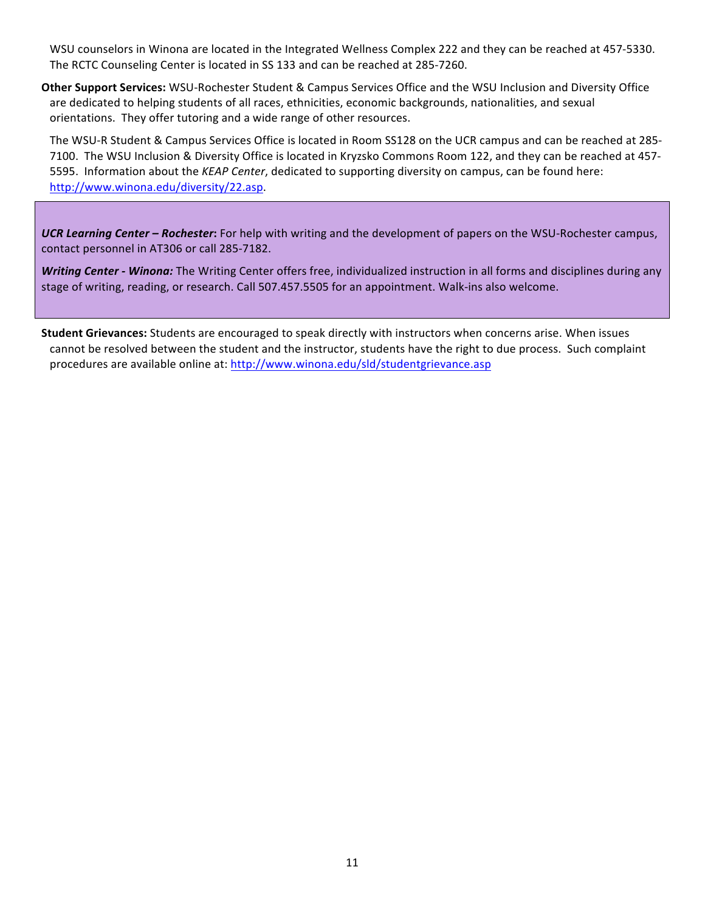WSU counselors in Winona are located in the Integrated Wellness Complex 222 and they can be reached at 457-5330. The RCTC Counseling Center is located in SS 133 and can be reached at 285-7260.

**Other Support Services:** WSU-Rochester Student & Campus Services Office and the WSU Inclusion and Diversity Office are dedicated to helping students of all races, ethnicities, economic backgrounds, nationalities, and sexual orientations. They offer tutoring and a wide range of other resources.

The WSU-R Student & Campus Services Office is located in Room SS128 on the UCR campus and can be reached at 285-7100. The WSU Inclusion & Diversity Office is located in Kryzsko Commons Room 122, and they can be reached at 457-5595. Information about the *KEAP Center*, dedicated to supporting diversity on campus, can be found here: http://www.winona.edu/diversity/22.asp.

UCR Learning Center – Rochester: For help with writing and the development of papers on the WSU-Rochester campus, contact personnel in AT306 or call 285-7182.

**Writing Center - Winona:** The Writing Center offers free, individualized instruction in all forms and disciplines during any stage of writing, reading, or research. Call 507.457.5505 for an appointment. Walk-ins also welcome.

**Student Grievances:** Students are encouraged to speak directly with instructors when concerns arise. When issues cannot be resolved between the student and the instructor, students have the right to due process. Such complaint procedures are available online at: http://www.winona.edu/sld/studentgrievance.asp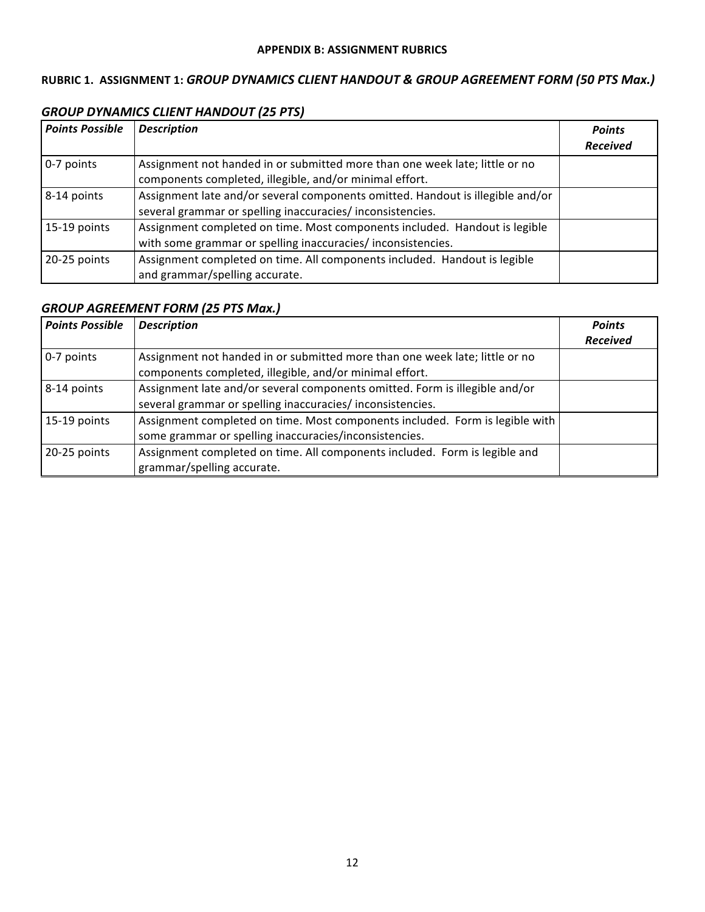## RUBRIC 1. ASSIGNMENT 1: GROUP DYNAMICS CLIENT HANDOUT & GROUP AGREEMENT FORM (50 PTS Max.)

## *GROUP DYNAMICS CLIENT HANDOUT (25 PTS)*

| <b>Points Possible</b> | <b>Description</b>                                                             | <b>Points</b><br><b>Received</b> |
|------------------------|--------------------------------------------------------------------------------|----------------------------------|
|                        |                                                                                |                                  |
| 0-7 points             | Assignment not handed in or submitted more than one week late; little or no    |                                  |
|                        | components completed, illegible, and/or minimal effort.                        |                                  |
| 8-14 points            | Assignment late and/or several components omitted. Handout is illegible and/or |                                  |
|                        | several grammar or spelling inaccuracies/inconsistencies.                      |                                  |
| 15-19 points           | Assignment completed on time. Most components included. Handout is legible     |                                  |
|                        | with some grammar or spelling inaccuracies/inconsistencies.                    |                                  |
| 20-25 points           | Assignment completed on time. All components included. Handout is legible      |                                  |
|                        | and grammar/spelling accurate.                                                 |                                  |

## **GROUP AGREEMENT FORM (25 PTS Max.)**

| <b>Points Possible</b> | <b>Description</b>                                                                                                                       | <b>Points</b>   |
|------------------------|------------------------------------------------------------------------------------------------------------------------------------------|-----------------|
|                        |                                                                                                                                          | <b>Received</b> |
| 0-7 points             | Assignment not handed in or submitted more than one week late; little or no<br>components completed, illegible, and/or minimal effort.   |                 |
| 8-14 points            | Assignment late and/or several components omitted. Form is illegible and/or<br>several grammar or spelling inaccuracies/inconsistencies. |                 |
| 15-19 points           | Assignment completed on time. Most components included. Form is legible with<br>some grammar or spelling inaccuracies/inconsistencies.   |                 |
| 20-25 points           | Assignment completed on time. All components included. Form is legible and<br>grammar/spelling accurate.                                 |                 |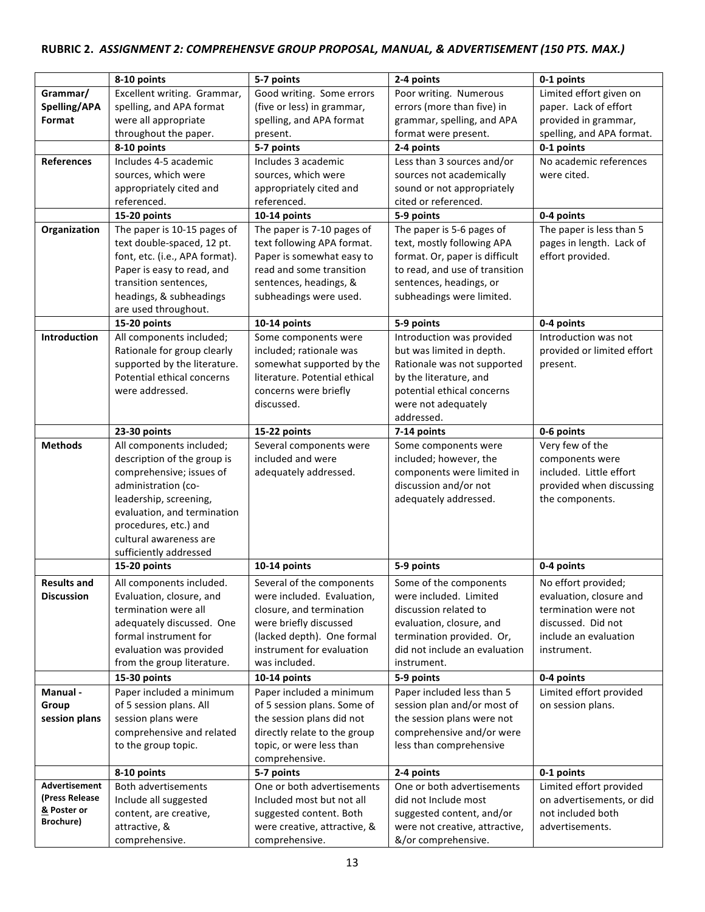# RUBRIC 2. ASSIGNMENT 2: COMPREHENSVE GROUP PROPOSAL, MANUAL, & ADVERTISEMENT (150 PTS. MAX.)

|                     | 8-10 points                    | 5-7 points                    | 2-4 points                     | 0-1 points                 |
|---------------------|--------------------------------|-------------------------------|--------------------------------|----------------------------|
| Grammar/            | Excellent writing. Grammar,    | Good writing. Some errors     | Poor writing. Numerous         | Limited effort given on    |
| Spelling/APA        | spelling, and APA format       | (five or less) in grammar,    | errors (more than five) in     | paper. Lack of effort      |
| Format              | were all appropriate           | spelling, and APA format      | grammar, spelling, and APA     | provided in grammar,       |
|                     | throughout the paper.          | present.                      | format were present.           | spelling, and APA format.  |
|                     | 8-10 points                    | 5-7 points                    | 2-4 points                     | 0-1 points                 |
| <b>References</b>   | Includes 4-5 academic          | Includes 3 academic           | Less than 3 sources and/or     | No academic references     |
|                     | sources, which were            | sources, which were           | sources not academically       | were cited.                |
|                     | appropriately cited and        | appropriately cited and       | sound or not appropriately     |                            |
|                     | referenced.                    | referenced.                   | cited or referenced.           |                            |
|                     | 15-20 points                   | 10-14 points                  | 5-9 points                     | 0-4 points                 |
| Organization        | The paper is 10-15 pages of    | The paper is 7-10 pages of    | The paper is 5-6 pages of      | The paper is less than 5   |
|                     | text double-spaced, 12 pt.     | text following APA format.    | text, mostly following APA     | pages in length. Lack of   |
|                     | font, etc. (i.e., APA format). | Paper is somewhat easy to     | format. Or, paper is difficult | effort provided.           |
|                     | Paper is easy to read, and     | read and some transition      | to read, and use of transition |                            |
|                     | transition sentences,          | sentences, headings, &        | sentences, headings, or        |                            |
|                     | headings, & subheadings        | subheadings were used.        | subheadings were limited.      |                            |
|                     | are used throughout.           |                               |                                |                            |
|                     | 15-20 points                   | 10-14 points                  | 5-9 points                     | 0-4 points                 |
| <b>Introduction</b> | All components included;       | Some components were          | Introduction was provided      | Introduction was not       |
|                     | Rationale for group clearly    | included; rationale was       | but was limited in depth.      | provided or limited effort |
|                     | supported by the literature.   | somewhat supported by the     | Rationale was not supported    | present.                   |
|                     | Potential ethical concerns     | literature. Potential ethical | by the literature, and         |                            |
|                     | were addressed.                | concerns were briefly         | potential ethical concerns     |                            |
|                     |                                | discussed.                    | were not adequately            |                            |
|                     |                                |                               | addressed.                     |                            |
|                     | 23-30 points                   | 15-22 points                  | 7-14 points                    | 0-6 points                 |
| <b>Methods</b>      | All components included;       | Several components were       | Some components were           | Very few of the            |
|                     | description of the group is    | included and were             | included; however, the         | components were            |
|                     | comprehensive; issues of       | adequately addressed.         | components were limited in     | included. Little effort    |
|                     | administration (co-            |                               | discussion and/or not          | provided when discussing   |
|                     | leadership, screening,         |                               | adequately addressed.          | the components.            |
|                     | evaluation, and termination    |                               |                                |                            |
|                     |                                |                               |                                |                            |
|                     | procedures, etc.) and          |                               |                                |                            |
|                     | cultural awareness are         |                               |                                |                            |
|                     | sufficiently addressed         |                               |                                |                            |
|                     | 15-20 points                   | 10-14 points                  | 5-9 points                     | 0-4 points                 |
| <b>Results and</b>  | All components included.       | Several of the components     | Some of the components         | No effort provided;        |
| <b>Discussion</b>   | Evaluation, closure, and       | were included. Evaluation,    | were included. Limited         | evaluation, closure and    |
|                     | termination were all           | closure, and termination      | discussion related to          | termination were not       |
|                     | adequately discussed. One      | were briefly discussed        | evaluation, closure, and       | discussed. Did not         |
|                     | formal instrument for          | (lacked depth). One formal    | termination provided. Or,      | include an evaluation      |
|                     | evaluation was provided        | instrument for evaluation     | did not include an evaluation  | instrument.                |
|                     | from the group literature.     | was included.                 | instrument.                    |                            |
|                     | 15-30 points                   | 10-14 points                  | 5-9 points                     | 0-4 points                 |
| Manual -            | Paper included a minimum       | Paper included a minimum      | Paper included less than 5     | Limited effort provided    |
| Group               | of 5 session plans. All        | of 5 session plans. Some of   | session plan and/or most of    | on session plans.          |
| session plans       | session plans were             | the session plans did not     | the session plans were not     |                            |
|                     | comprehensive and related      | directly relate to the group  | comprehensive and/or were      |                            |
|                     | to the group topic.            | topic, or were less than      | less than comprehensive        |                            |
|                     |                                | comprehensive.                |                                |                            |
|                     | 8-10 points                    | 5-7 points                    | 2-4 points                     | 0-1 points                 |
| Advertisement       | <b>Both advertisements</b>     | One or both advertisements    | One or both advertisements     | Limited effort provided    |
| (Press Release      | Include all suggested          | Included most but not all     | did not Include most           | on advertisements, or did  |
| & Poster or         | content, are creative,         | suggested content. Both       | suggested content, and/or      | not included both          |
| Brochure)           | attractive, &                  | were creative, attractive, &  | were not creative, attractive, | advertisements.            |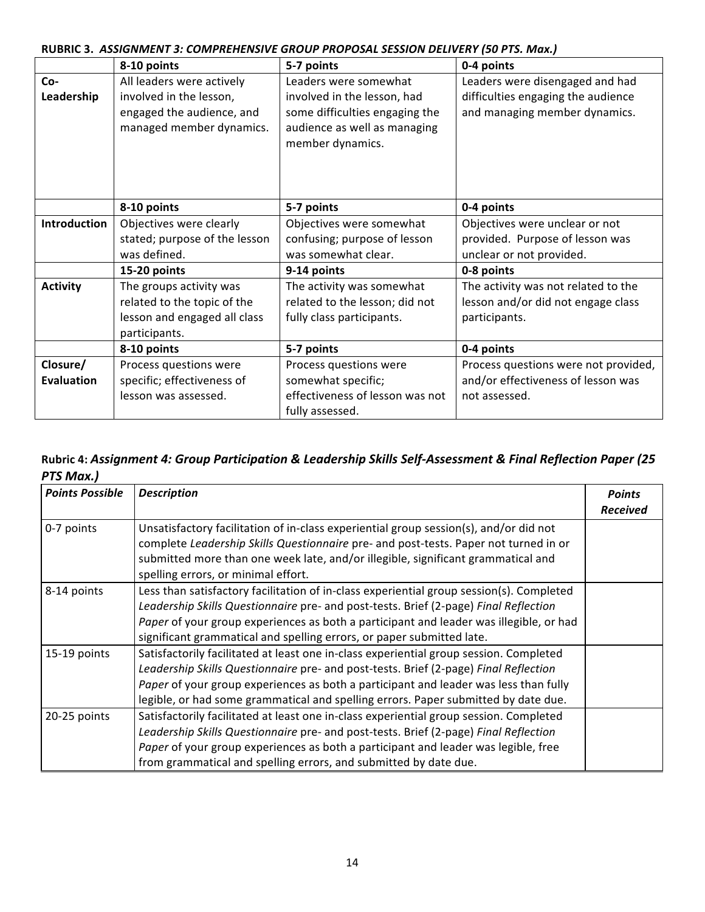|                   | 8-10 points                                           | 5-7 points                                                                         | 0-4 points                           |
|-------------------|-------------------------------------------------------|------------------------------------------------------------------------------------|--------------------------------------|
| Co-               | All leaders were actively                             | Leaders were somewhat                                                              | Leaders were disengaged and had      |
| Leadership        | involved in the lesson,                               | involved in the lesson, had                                                        | difficulties engaging the audience   |
|                   | engaged the audience, and<br>managed member dynamics. | some difficulties engaging the<br>audience as well as managing<br>member dynamics. | and managing member dynamics.        |
|                   | 8-10 points                                           | 5-7 points                                                                         | 0-4 points                           |
| Introduction      | Objectives were clearly                               | Objectives were somewhat                                                           | Objectives were unclear or not       |
|                   | stated; purpose of the lesson                         | confusing; purpose of lesson                                                       | provided. Purpose of lesson was      |
|                   | was defined.                                          | was somewhat clear.                                                                | unclear or not provided.             |
|                   | 15-20 points                                          | 9-14 points                                                                        | 0-8 points                           |
| <b>Activity</b>   | The groups activity was                               | The activity was somewhat                                                          | The activity was not related to the  |
|                   | related to the topic of the                           | related to the lesson; did not                                                     | lesson and/or did not engage class   |
|                   | lesson and engaged all class                          | fully class participants.                                                          | participants.                        |
|                   | participants.                                         |                                                                                    |                                      |
|                   | 8-10 points                                           | 5-7 points                                                                         | 0-4 points                           |
| Closure/          | Process questions were                                | Process questions were                                                             | Process questions were not provided, |
| <b>Evaluation</b> | specific; effectiveness of                            | somewhat specific;                                                                 | and/or effectiveness of lesson was   |
|                   | lesson was assessed.                                  | effectiveness of lesson was not<br>fully assessed.                                 | not assessed.                        |

## **RUBRIC 3.** *ASSIGNMENT 3: COMPREHENSIVE GROUP PROPOSAL SESSION DELIVERY (50 PTS. Max.)*

## Rubric 4: Assignment 4: Group Participation & Leadership Skills Self-Assessment & Final Reflection Paper (25 *PTS Max.)*

| <b>Points Possible</b> | <b>Description</b>                                                                                                                                                                                                                                                                                                                                                                         | <b>Points</b><br><b>Received</b> |
|------------------------|--------------------------------------------------------------------------------------------------------------------------------------------------------------------------------------------------------------------------------------------------------------------------------------------------------------------------------------------------------------------------------------------|----------------------------------|
| 0-7 points             | Unsatisfactory facilitation of in-class experiential group session(s), and/or did not<br>complete Leadership Skills Questionnaire pre- and post-tests. Paper not turned in or<br>submitted more than one week late, and/or illegible, significant grammatical and                                                                                                                          |                                  |
| 8-14 points            | spelling errors, or minimal effort.<br>Less than satisfactory facilitation of in-class experiential group session(s). Completed<br>Leadership Skills Questionnaire pre- and post-tests. Brief (2-page) Final Reflection<br>Paper of your group experiences as both a participant and leader was illegible, or had<br>significant grammatical and spelling errors, or paper submitted late. |                                  |
| 15-19 points           | Satisfactorily facilitated at least one in-class experiential group session. Completed<br>Leadership Skills Questionnaire pre- and post-tests. Brief (2-page) Final Reflection<br>Paper of your group experiences as both a participant and leader was less than fully<br>legible, or had some grammatical and spelling errors. Paper submitted by date due.                               |                                  |
| 20-25 points           | Satisfactorily facilitated at least one in-class experiential group session. Completed<br>Leadership Skills Questionnaire pre- and post-tests. Brief (2-page) Final Reflection<br>Paper of your group experiences as both a participant and leader was legible, free<br>from grammatical and spelling errors, and submitted by date due.                                                   |                                  |